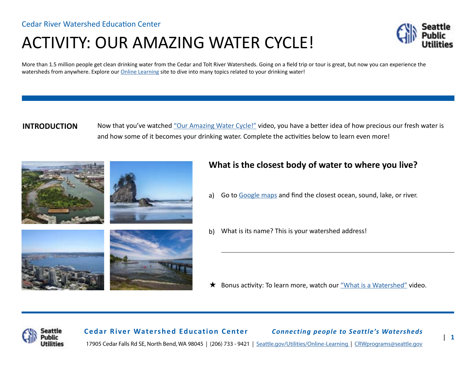# ACTIVITY: OUR AMAZING WATER CYCLE!



More than 1.5 million people get clean drinking water from the Cedar and Tolt River Watersheds. Going on a field trip or tour is great, but now you can experience the watersheds from anywhere. Explore our [Online Learning](http://www.seattle.gov/utilities/protecting-our-environment/our-water-sources/cedar-river-watershed/online-learning) site to dive into many topics related to your drinking water!

#### **INTRODUCTION**

Now that you've watched ["Our Amazing Water Cycle!"](https://www.youtube.com/watch?v=uPX-MvUTYFs) video, you have a better idea of how precious our fresh water is and how some of it becomes your drinking water. Complete the activities below to learn even more!



## **What is the closest body of water to where you live?**

- Go to [Google maps](https://www.google.com/maps/) and find the closest ocean, sound, lake, or river. a)
- What is its name? This is your watershed address! b)

★ Bonus activity: To learn more, watch our ["What is a Watershed"](https://www.youtube.com/watch?v=7q-pj3mDqyk) video.



**Cedar River Watershed Education Center** *Connecting people to Seattle's Watersheds* 17905 Cedar Falls Rd SE, North Bend, WA 98045 | (206) 733 - 9421 | [Seattle.gov/Utilities/Online-Learning](http://www.seattle.gov/utilities/protecting-our-environment/our-water-sources/cedar-river-watershed/online-learning) | [CRWprograms@seattle.gov](mailto:crwprograms%40seattle.gov?subject=)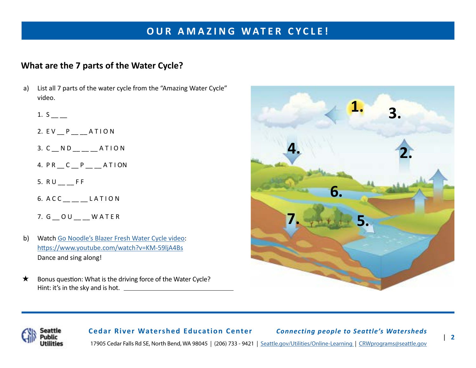# **OUR AMAZING WATER CYCLE!**

## **What are the 7 parts of the Water Cycle?**

- a) List all 7 parts of the water cycle from the "Amazing Water Cycle" video.
	- 1. S \_\_ \_\_
	- 2. EV P ATION
	- $3. C N D$ <sub>\_\_</sub>\_\_ATION
	- 4. P R \_\_ C \_\_ P \_\_ \_\_ A T I ON
	- 5.  $RU_{--}$ FF
	- 6. A C C LATION
	- 7. G OU WATER
- b) Watch [Go Noodle's Blazer Fresh Water Cycle video](https://www.youtube.com/watch?v=KM-59ljA4Bs 
): <https://www.youtube.com/watch?v=KM-59ljA4Bs> Dance and sing along!
- $\star$ Bonus question: What is the driving force of the Water Cycle? Hint: it's in the sky and is hot.





**Cedar River Watershed Education Center** *Connecting people to Seattle's Watersheds* 17905 Cedar Falls Rd SE, North Bend, WA 98045 | (206) 733 - 9421 | [Seattle.gov/Utilities/Online-Learning](http://www.seattle.gov/utilities/protecting-our-environment/our-water-sources/cedar-river-watershed/online-learning) | [CRWprograms@seattle.gov](mailto:crwprograms%40seattle.gov?subject=)